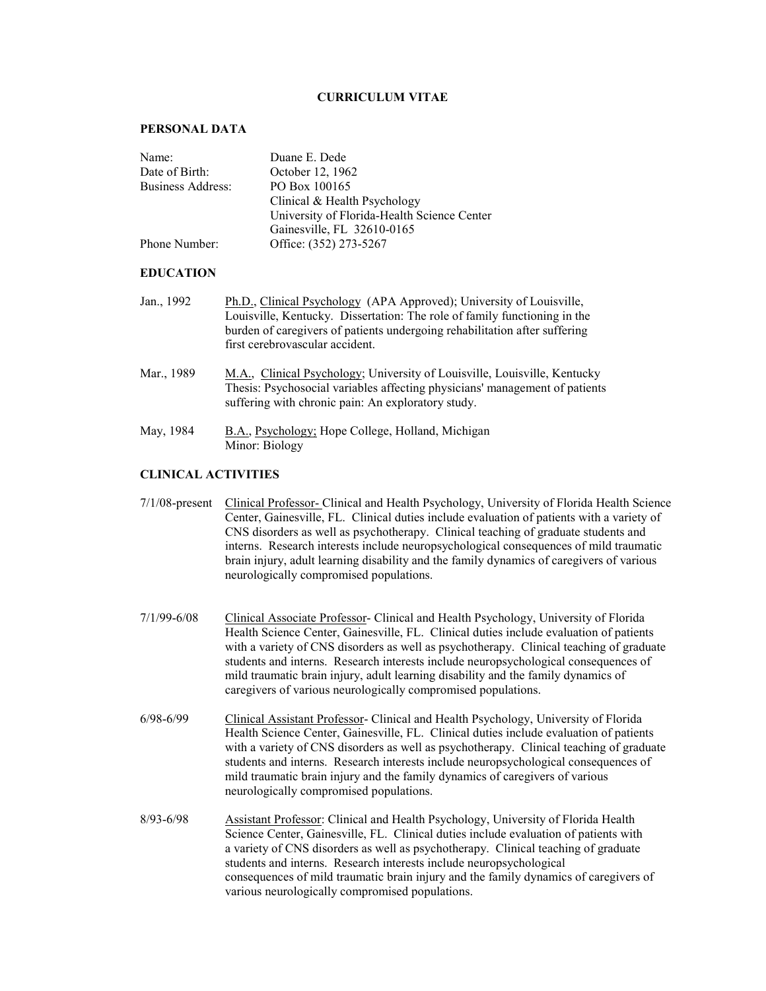### **CURRICULUM VITAE**

#### **PERSONAL DATA**

| Name:             | Duane E. Dede                               |
|-------------------|---------------------------------------------|
| Date of Birth:    | October 12, 1962                            |
| Business Address: | PO Box 100165                               |
|                   | Clinical & Health Psychology                |
|                   | University of Florida-Health Science Center |
|                   | Gainesville, FL 32610-0165                  |
| Phone Number:     | Office: (352) 273-5267                      |

#### **EDUCATION**

- Jan., 1992 Ph.D., Clinical Psychology (APA Approved); University of Louisville, Louisville, Kentucky. Dissertation: The role of family functioning in the burden of caregivers of patients undergoing rehabilitation after suffering first cerebrovascular accident.
- Mar., 1989 M.A., Clinical Psychology; University of Louisville, Louisville, Kentucky Thesis: Psychosocial variables affecting physicians' management of patients suffering with chronic pain: An exploratory study.
- May, 1984 B.A., Psychology; Hope College, Holland, Michigan Minor: Biology

## **CLINICAL ACTIVITIES**

- 7/1/08-present Clinical Professor- Clinical and Health Psychology, University of Florida Health Science Center, Gainesville, FL. Clinical duties include evaluation of patients with a variety of CNS disorders as well as psychotherapy. Clinical teaching of graduate students and interns. Research interests include neuropsychological consequences of mild traumatic brain injury, adult learning disability and the family dynamics of caregivers of various neurologically compromised populations.
- 7/1/99-6/08 Clinical Associate Professor- Clinical and Health Psychology, University of Florida Health Science Center, Gainesville, FL. Clinical duties include evaluation of patients with a variety of CNS disorders as well as psychotherapy. Clinical teaching of graduate students and interns. Research interests include neuropsychological consequences of mild traumatic brain injury, adult learning disability and the family dynamics of caregivers of various neurologically compromised populations.
- 6/98-6/99 Clinical Assistant Professor- Clinical and Health Psychology, University of Florida Health Science Center, Gainesville, FL. Clinical duties include evaluation of patients with a variety of CNS disorders as well as psychotherapy. Clinical teaching of graduate students and interns. Research interests include neuropsychological consequences of mild traumatic brain injury and the family dynamics of caregivers of various neurologically compromised populations.
- 8/93-6/98 Assistant Professor: Clinical and Health Psychology, University of Florida Health Science Center, Gainesville, FL. Clinical duties include evaluation of patients with a variety of CNS disorders as well as psychotherapy. Clinical teaching of graduate students and interns. Research interests include neuropsychological consequences of mild traumatic brain injury and the family dynamics of caregivers of various neurologically compromised populations.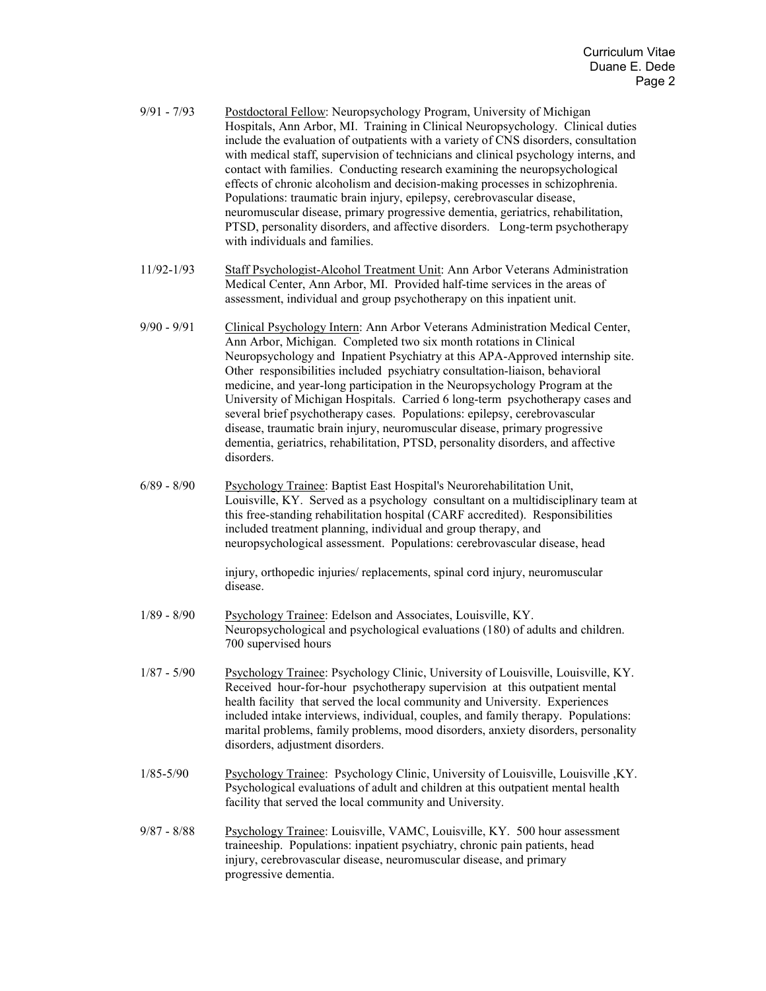| $9/91 - 7/93$  | Postdoctoral Fellow: Neuropsychology Program, University of Michigan<br>Hospitals, Ann Arbor, MI. Training in Clinical Neuropsychology. Clinical duties<br>include the evaluation of outpatients with a variety of CNS disorders, consultation<br>with medical staff, supervision of technicians and clinical psychology interns, and<br>contact with families. Conducting research examining the neuropsychological<br>effects of chronic alcoholism and decision-making processes in schizophrenia.<br>Populations: traumatic brain injury, epilepsy, cerebrovascular disease,<br>neuromuscular disease, primary progressive dementia, geriatrics, rehabilitation,<br>PTSD, personality disorders, and affective disorders. Long-term psychotherapy<br>with individuals and families. |
|----------------|-----------------------------------------------------------------------------------------------------------------------------------------------------------------------------------------------------------------------------------------------------------------------------------------------------------------------------------------------------------------------------------------------------------------------------------------------------------------------------------------------------------------------------------------------------------------------------------------------------------------------------------------------------------------------------------------------------------------------------------------------------------------------------------------|
| $11/92 - 1/93$ | Staff Psychologist-Alcohol Treatment Unit: Ann Arbor Veterans Administration<br>Medical Center, Ann Arbor, MI. Provided half-time services in the areas of<br>assessment, individual and group psychotherapy on this inpatient unit.                                                                                                                                                                                                                                                                                                                                                                                                                                                                                                                                                    |
| $9/90 - 9/91$  | Clinical Psychology Intern: Ann Arbor Veterans Administration Medical Center,<br>Ann Arbor, Michigan. Completed two six month rotations in Clinical<br>Neuropsychology and Inpatient Psychiatry at this APA-Approved internship site.<br>Other responsibilities included psychiatry consultation-liaison, behavioral<br>medicine, and year-long participation in the Neuropsychology Program at the<br>University of Michigan Hospitals. Carried 6 long-term psychotherapy cases and<br>several brief psychotherapy cases. Populations: epilepsy, cerebrovascular<br>disease, traumatic brain injury, neuromuscular disease, primary progressive<br>dementia, geriatrics, rehabilitation, PTSD, personality disorders, and affective<br>disorders.                                      |
| $6/89 - 8/90$  | Psychology Trainee: Baptist East Hospital's Neurorehabilitation Unit,<br>Louisville, KY. Served as a psychology consultant on a multidisciplinary team at<br>this free-standing rehabilitation hospital (CARF accredited). Responsibilities<br>included treatment planning, individual and group therapy, and<br>neuropsychological assessment. Populations: cerebrovascular disease, head<br>injury, orthopedic injuries/replacements, spinal cord injury, neuromuscular<br>disease.                                                                                                                                                                                                                                                                                                   |
| $1/89 - 8/90$  | Psychology Trainee: Edelson and Associates, Louisville, KY.<br>Neuropsychological and psychological evaluations (180) of adults and children.<br>700 supervised hours                                                                                                                                                                                                                                                                                                                                                                                                                                                                                                                                                                                                                   |
| $1/87 - 5/90$  | Psychology Trainee: Psychology Clinic, University of Louisville, Louisville, KY.<br>Received hour-for-hour psychotherapy supervision at this outpatient mental<br>health facility that served the local community and University. Experiences<br>included intake interviews, individual, couples, and family therapy. Populations:<br>marital problems, family problems, mood disorders, anxiety disorders, personality<br>disorders, adjustment disorders.                                                                                                                                                                                                                                                                                                                             |
| $1/85 - 5/90$  | Psychology Trainee: Psychology Clinic, University of Louisville, Louisville, KY.<br>Psychological evaluations of adult and children at this outpatient mental health<br>facility that served the local community and University.                                                                                                                                                                                                                                                                                                                                                                                                                                                                                                                                                        |
| $9/87 - 8/88$  | Psychology Trainee: Louisville, VAMC, Louisville, KY. 500 hour assessment<br>traineeship. Populations: inpatient psychiatry, chronic pain patients, head<br>injury, cerebrovascular disease, neuromuscular disease, and primary<br>progressive dementia.                                                                                                                                                                                                                                                                                                                                                                                                                                                                                                                                |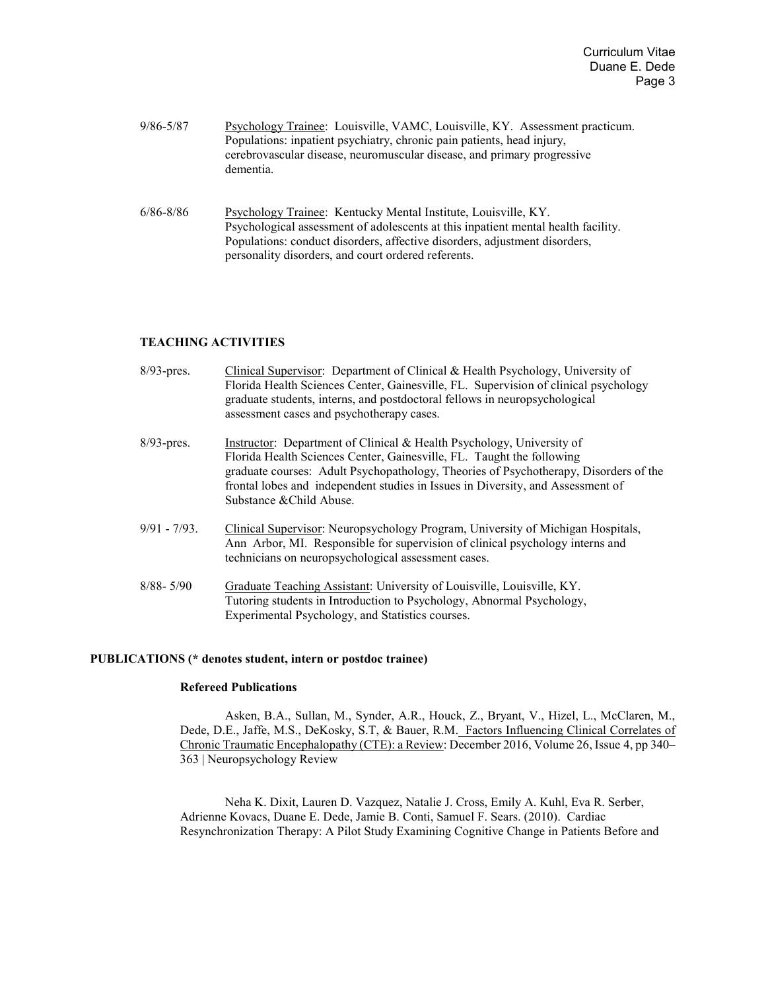| 9/86-5/87 | Psychology Trainee: Louisville, VAMC, Louisville, KY. Assessment practicum.<br>Populations: inpatient psychiatry, chronic pain patients, head injury,<br>cerebrovascular disease, neuromuscular disease, and primary progressive<br>dementia. |
|-----------|-----------------------------------------------------------------------------------------------------------------------------------------------------------------------------------------------------------------------------------------------|
|           |                                                                                                                                                                                                                                               |

6/86-8/86 Psychology Trainee: Kentucky Mental Institute, Louisville, KY. Psychological assessment of adolescents at this inpatient mental health facility. Populations: conduct disorders, affective disorders, adjustment disorders, personality disorders, and court ordered referents.

## **TEACHING ACTIVITIES**

| $8/93$ -pres.   | Clinical Supervisor: Department of Clinical & Health Psychology, University of<br>Florida Health Sciences Center, Gainesville, FL. Supervision of clinical psychology<br>graduate students, interns, and postdoctoral fellows in neuropsychological<br>assessment cases and psychotherapy cases.                                                      |
|-----------------|-------------------------------------------------------------------------------------------------------------------------------------------------------------------------------------------------------------------------------------------------------------------------------------------------------------------------------------------------------|
| $8/93$ -pres.   | Instructor: Department of Clinical & Health Psychology, University of<br>Florida Health Sciences Center, Gainesville, FL. Taught the following<br>graduate courses: Adult Psychopathology, Theories of Psychotherapy, Disorders of the<br>frontal lobes and independent studies in Issues in Diversity, and Assessment of<br>Substance & Child Abuse. |
| $9/91 - 7/93$ . | Clinical Supervisor: Neuropsychology Program, University of Michigan Hospitals,<br>Ann Arbor, MI. Responsible for supervision of clinical psychology interns and<br>technicians on neuropsychological assessment cases.                                                                                                                               |
| $8/88 - 5/90$   | Graduate Teaching Assistant: University of Louisville, Louisville, KY.<br>Tutoring students in Introduction to Psychology, Abnormal Psychology,<br>Experimental Psychology, and Statistics courses.                                                                                                                                                   |

## **PUBLICATIONS (\* denotes student, intern or postdoc trainee)**

# **Refereed Publications**

Asken, B.A., Sullan, M., Synder, A.R., Houck, Z., Bryant, V., Hizel, L., McClaren, M., Dede, D.E., Jaffe, M.S., DeKosky, S.T, & Bauer, R.M.Factors Influencing Clinical Correlates of Chronic Traumatic Encephalopathy (CTE): a Review: December 2016, Volume 26, Issue 4, pp 340– 363 | Neuropsychology Review

Neha K. Dixit, Lauren D. Vazquez, Natalie J. Cross, Emily A. Kuhl, Eva R. Serber, Adrienne Kovacs, Duane E. Dede, Jamie B. Conti, Samuel F. Sears. (2010).Cardiac Resynchronization Therapy: A Pilot Study Examining Cognitive Change in Patients Before and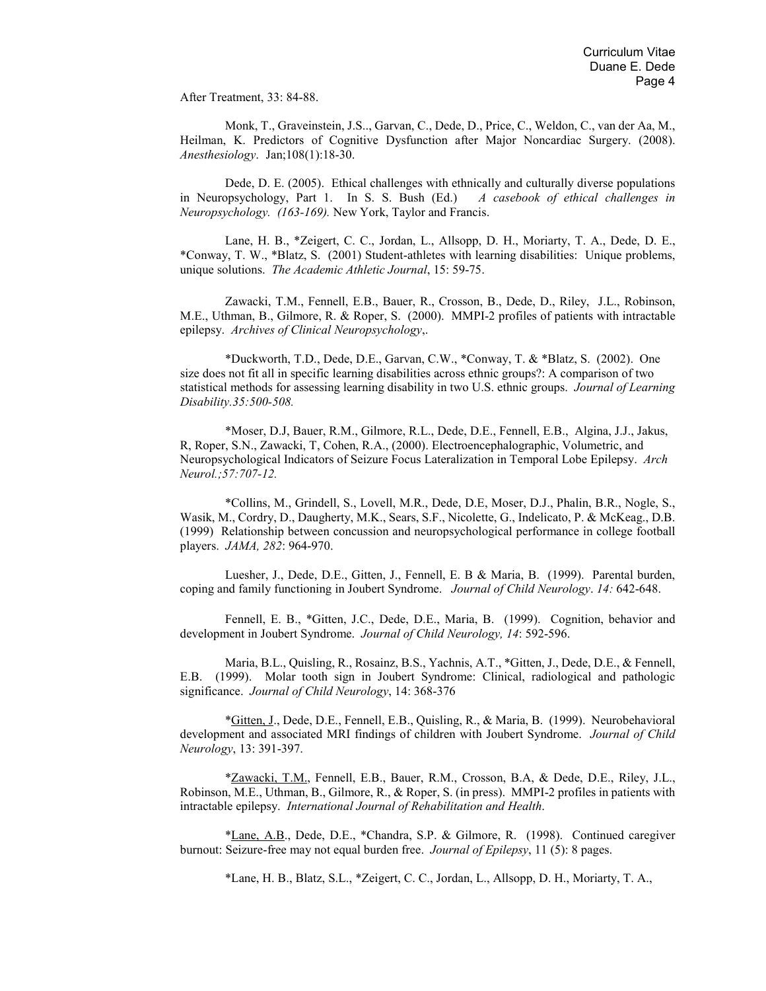After Treatment, 33: 84-88.

Monk, T., Graveinstein, J.S.., Garvan, C., Dede, D., Price, C., Weldon, C., van der Aa, M., Heilman, K. Predictors of Cognitive Dysfunction after Major Noncardiac Surgery. (2008). *Anesthesiology*. Jan;108(1):18-30.

Dede, D. E. (2005). Ethical challenges with ethnically and culturally diverse populations in Neuropsychology, Part 1. In S. S. Bush (Ed.) *A casebook of ethical challenges in Neuropsychology. (163-169).* New York, Taylor and Francis.

Lane, H. B., \*Zeigert, C. C., Jordan, L., Allsopp, D. H., Moriarty, T. A., Dede, D. E., \*Conway, T. W., \*Blatz, S. (2001) Student-athletes with learning disabilities: Unique problems, unique solutions. *The Academic Athletic Journal*, 15: 59-75.

Zawacki, T.M., Fennell, E.B., Bauer, R., Crosson, B., Dede, D., Riley, J.L., Robinson, M.E., Uthman, B., Gilmore, R. & Roper, S. (2000). MMPI-2 profiles of patients with intractable epilepsy. *Archives of Clinical Neuropsychology*,.

\*Duckworth, T.D., Dede, D.E., Garvan, C.W., \*Conway, T. & \*Blatz, S. (2002). One size does not fit all in specific learning disabilities across ethnic groups?: A comparison of two statistical methods for assessing learning disability in two U.S. ethnic groups. *Journal of Learning Disability.35:500-508.*

\*Moser, D.J, Bauer, R.M., Gilmore, R.L., Dede, D.E., Fennell, E.B., Algina, J.J., Jakus, R, Roper, S.N., Zawacki, T, Cohen, R.A., (2000). Electroencephalographic, Volumetric, and Neuropsychological Indicators of Seizure Focus Lateralization in Temporal Lobe Epilepsy. *Arch Neurol.;57:707-12.*

\*Collins, M., Grindell, S., Lovell, M.R., Dede, D.E, Moser, D.J., Phalin, B.R., Nogle, S., Wasik, M., Cordry, D., Daugherty, M.K., Sears, S.F., Nicolette, G., Indelicato, P. & McKeag., D.B. (1999) Relationship between concussion and neuropsychological performance in college football players. *JAMA, 282*: 964-970.

Luesher, J., Dede, D.E., Gitten, J., Fennell, E. B & Maria, B. (1999). Parental burden, coping and family functioning in Joubert Syndrome. *Journal of Child Neurology*. *14:* 642-648.

Fennell, E. B., \*Gitten, J.C., Dede, D.E., Maria, B. (1999). Cognition, behavior and development in Joubert Syndrome. *Journal of Child Neurology, 14*: 592-596.

Maria, B.L., Quisling, R., Rosainz, B.S., Yachnis, A.T., \*Gitten, J., Dede, D.E., & Fennell, E.B. (1999). Molar tooth sign in Joubert Syndrome: Clinical, radiological and pathologic significance. *Journal of Child Neurology*, 14: 368-376

\*Gitten, J., Dede, D.E., Fennell, E.B., Quisling, R., & Maria, B. (1999). Neurobehavioral development and associated MRI findings of children with Joubert Syndrome. *Journal of Child Neurology*, 13: 391-397.

\*Zawacki, T.M., Fennell, E.B., Bauer, R.M., Crosson, B.A, & Dede, D.E., Riley, J.L., Robinson, M.E., Uthman, B., Gilmore, R., & Roper, S. (in press). MMPI-2 profiles in patients with intractable epilepsy. *International Journal of Rehabilitation and Health*.

\*Lane, A.B., Dede, D.E., \*Chandra, S.P. & Gilmore, R. (1998). Continued caregiver burnout: Seizure-free may not equal burden free. *Journal of Epilepsy*, 11 (5): 8 pages.

\*Lane, H. B., Blatz, S.L., \*Zeigert, C. C., Jordan, L., Allsopp, D. H., Moriarty, T. A.,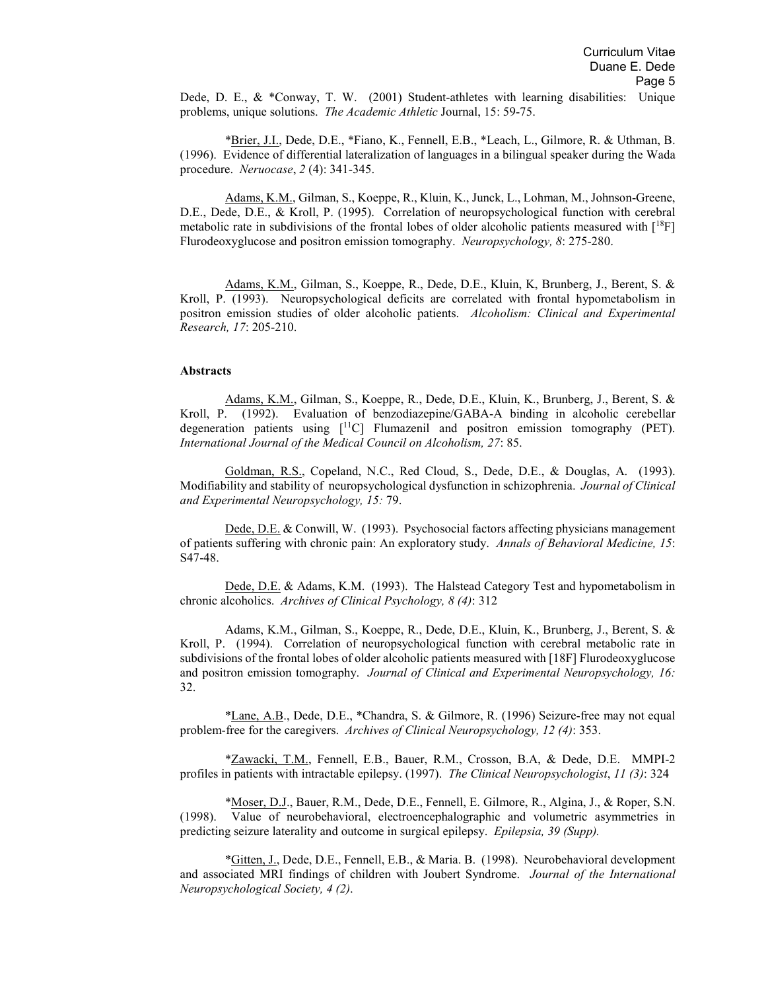Dede, D. E., & \*Conway, T. W. (2001) Student-athletes with learning disabilities: Unique problems, unique solutions. *The Academic Athletic* Journal, 15: 59-75.

\*Brier, J.I., Dede, D.E., \*Fiano, K., Fennell, E.B., \*Leach, L., Gilmore, R. & Uthman, B. (1996). Evidence of differential lateralization of languages in a bilingual speaker during the Wada procedure. *Neruocase*, *2* (4): 341-345.

Adams, K.M., Gilman, S., Koeppe, R., Kluin, K., Junck, L., Lohman, M., Johnson-Greene, D.E., Dede, D.E., & Kroll, P. (1995). Correlation of neuropsychological function with cerebral metabolic rate in subdivisions of the frontal lobes of older alcoholic patients measured with [18F] Flurodeoxyglucose and positron emission tomography. *Neuropsychology, 8*: 275-280.

Adams, K.M., Gilman, S., Koeppe, R., Dede, D.E., Kluin, K, Brunberg, J., Berent, S. & Kroll, P. (1993). Neuropsychological deficits are correlated with frontal hypometabolism in positron emission studies of older alcoholic patients. *Alcoholism: Clinical and Experimental Research, 17*: 205-210.

#### **Abstracts**

Adams, K.M., Gilman, S., Koeppe, R., Dede, D.E., Kluin, K., Brunberg, J., Berent, S. & Kroll, P. (1992). Evaluation of benzodiazepine/GABA-A binding in alcoholic cerebellar degeneration patients using [11C] Flumazenil and positron emission tomography (PET). *International Journal of the Medical Council on Alcoholism, 27*: 85.

Goldman, R.S., Copeland, N.C., Red Cloud, S., Dede, D.E., & Douglas, A. (1993). Modifiability and stability of neuropsychological dysfunction in schizophrenia. *Journal of Clinical and Experimental Neuropsychology, 15:* 79.

Dede, D.E. & Conwill, W. (1993). Psychosocial factors affecting physicians management of patients suffering with chronic pain: An exploratory study. *Annals of Behavioral Medicine, 15*: S47-48.

Dede, D.E. & Adams, K.M. (1993). The Halstead Category Test and hypometabolism in chronic alcoholics. *Archives of Clinical Psychology, 8 (4)*: 312

Adams, K.M., Gilman, S., Koeppe, R., Dede, D.E., Kluin, K., Brunberg, J., Berent, S. & Kroll, P. (1994). Correlation of neuropsychological function with cerebral metabolic rate in subdivisions of the frontal lobes of older alcoholic patients measured with [18F] Flurodeoxyglucose and positron emission tomography. *Journal of Clinical and Experimental Neuropsychology, 16:* 32.

\*Lane, A.B., Dede, D.E., \*Chandra, S. & Gilmore, R. (1996) Seizure-free may not equal problem-free for the caregivers. *Archives of Clinical Neuropsychology, 12 (4)*: 353.

\*Zawacki, T.M., Fennell, E.B., Bauer, R.M., Crosson, B.A, & Dede, D.E. MMPI-2 profiles in patients with intractable epilepsy. (1997). *The Clinical Neuropsychologist*, *11 (3)*: 324

\*Moser, D.J., Bauer, R.M., Dede, D.E., Fennell, E. Gilmore, R., Algina, J., & Roper, S.N. (1998). Value of neurobehavioral, electroencephalographic and volumetric asymmetries in predicting seizure laterality and outcome in surgical epilepsy. *Epilepsia, 39 (Supp).*

\*Gitten, J., Dede, D.E., Fennell, E.B., & Maria. B. (1998). Neurobehavioral development and associated MRI findings of children with Joubert Syndrome. *Journal of the International Neuropsychological Society, 4 (2)*.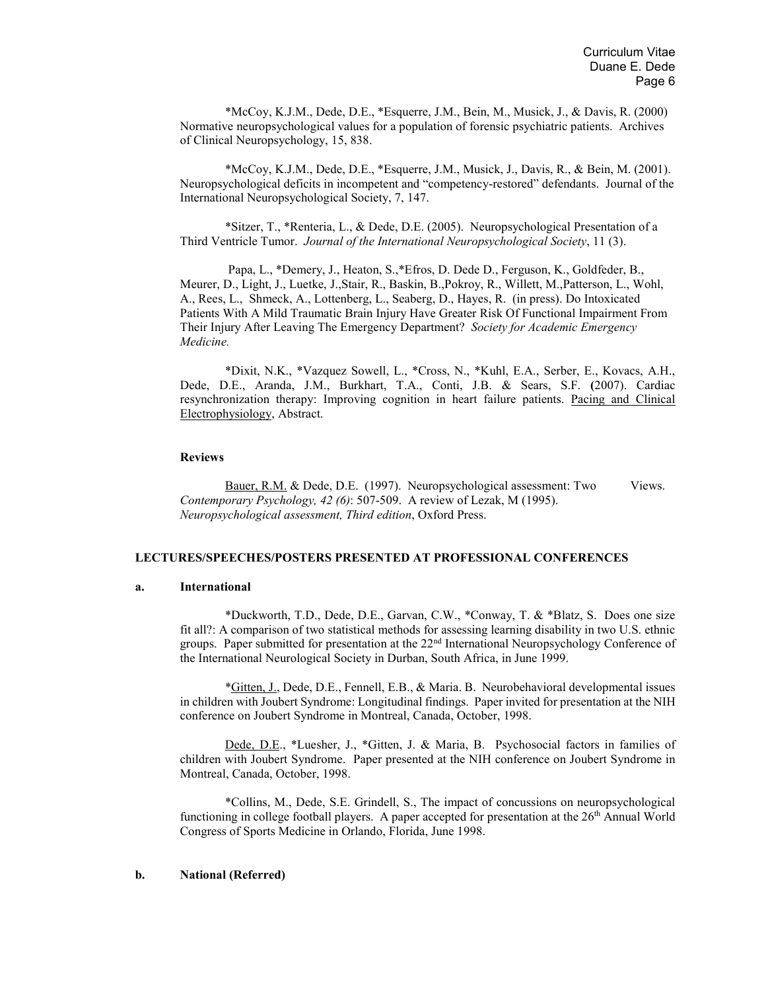\*McCoy, K.J.M., Dede, D.E., \*Esquerre, J.M., Bein, M., Musick, J., & Davis, R. (2000) Normative neuropsychological values for a population of forensic psychiatric patients. Archives of Clinical Neuropsychology, 15, 838.

\*McCoy, K.J.M., Dede, D.E., \*Esquerre, J.M., Musick, J., Davis, R., & Bein, M. (2001). Neuropsychological deficits in incompetent and "competency-restored" defendants. Journal of the International Neuropsychological Society, 7, 147.

\*Sitzer, T., \*Renteria, L., & Dede, D.E. (2005). Neuropsychological Presentation of a Third Ventricle Tumor. *Journal of the International Neuropsychological Society*, 11 (3).

Papa, L., \*Demery, J., Heaton, S.,\*Efros, D. Dede D., Ferguson, K., Goldfeder, B., Meurer, D., Light, J., Luetke, J.,Stair, R., Baskin, B.,Pokroy, R., Willett, M.,Patterson, L., Wohl, A., Rees, L., Shmeck, A., Lottenberg, L., Seaberg, D., Hayes, R. (in press). Do Intoxicated Patients With A Mild Traumatic Brain Injury Have Greater Risk Of Functional Impairment From Their Injury After Leaving The Emergency Department? *Society for Academic Emergency Medicine.*

\*Dixit, N.K., \*Vazquez Sowell, L., \*Cross, N., \*Kuhl, E.A., Serber, E., Kovacs, A.H., Dede, D.E., Aranda, J.M., Burkhart, T.A., Conti, J.B. & Sears, S.F. **(**2007). Cardiac resynchronization therapy: Improving cognition in heart failure patients. Pacing and Clinical Electrophysiology, Abstract.

#### **Reviews**

Bauer, R.M. & Dede, D.E. (1997). Neuropsychological assessment: Two Views. *Contemporary Psychology, 42 (6)*: 507-509. A review of Lezak, M (1995). *Neuropsychological assessment, Third edition*, Oxford Press.

### **LECTURES/SPEECHES/POSTERS PRESENTED AT PROFESSIONAL CONFERENCES**

#### **a. International**

\*Duckworth, T.D., Dede, D.E., Garvan, C.W., \*Conway, T. & \*Blatz, S. Does one size fit all?: A comparison of two statistical methods for assessing learning disability in two U.S. ethnic groups. Paper submitted for presentation at the 22nd International Neuropsychology Conference of the International Neurological Society in Durban, South Africa, in June 1999.

\*Gitten, J., Dede, D.E., Fennell, E.B., & Maria. B. Neurobehavioral developmental issues in children with Joubert Syndrome: Longitudinal findings. Paper invited for presentation at the NIH conference on Joubert Syndrome in Montreal, Canada, October, 1998.

Dede, D.E., \*Luesher, J., \*Gitten, J. & Maria, B. Psychosocial factors in families of children with Joubert Syndrome. Paper presented at the NIH conference on Joubert Syndrome in Montreal, Canada, October, 1998.

\*Collins, M., Dede, S.E. Grindell, S., The impact of concussions on neuropsychological functioning in college football players. A paper accepted for presentation at the  $26<sup>th</sup>$  Annual World Congress of Sports Medicine in Orlando, Florida, June 1998.

### **b. National (Referred)**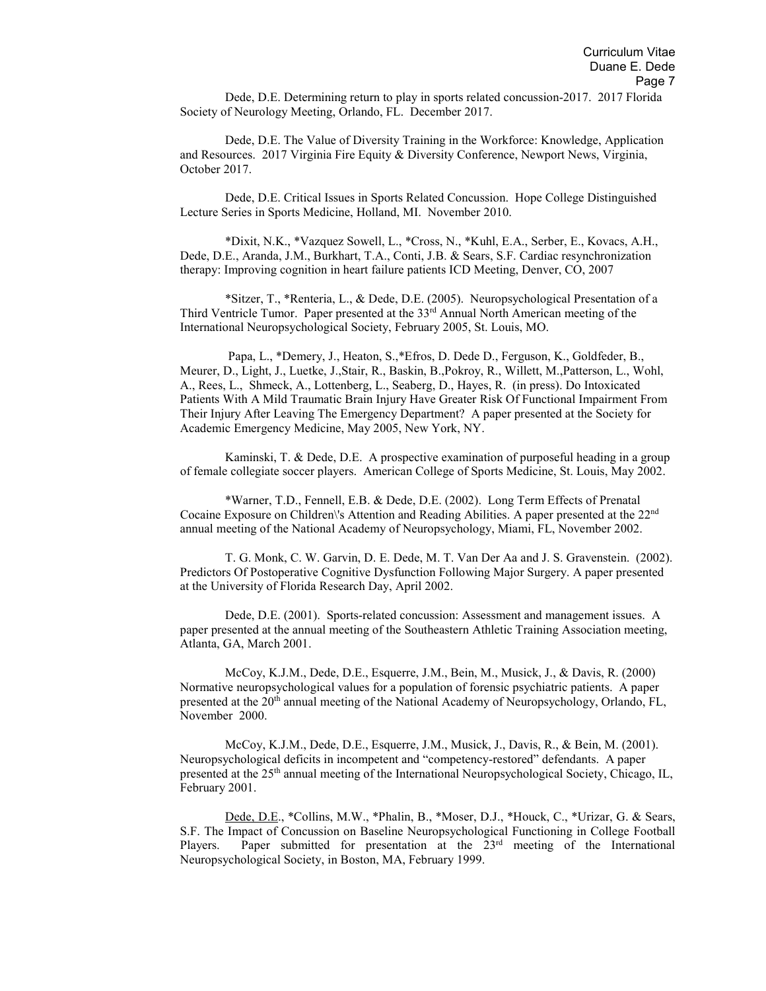Dede, D.E. Determining return to play in sports related concussion-2017. 2017 Florida Society of Neurology Meeting, Orlando, FL. December 2017.

Dede, D.E. The Value of Diversity Training in the Workforce: Knowledge, Application and Resources. 2017 Virginia Fire Equity & Diversity Conference, Newport News, Virginia, October 2017.

Dede, D.E. Critical Issues in Sports Related Concussion. Hope College Distinguished Lecture Series in Sports Medicine, Holland, MI. November 2010.

\*Dixit, N.K., \*Vazquez Sowell, L., \*Cross, N., \*Kuhl, E.A., Serber, E., Kovacs, A.H., Dede, D.E., Aranda, J.M., Burkhart, T.A., Conti, J.B. & Sears, S.F. Cardiac resynchronization therapy: Improving cognition in heart failure patients ICD Meeting, Denver, CO, 2007

\*Sitzer, T., \*Renteria, L., & Dede, D.E. (2005). Neuropsychological Presentation of a Third Ventricle Tumor. Paper presented at the 33rd Annual North American meeting of the International Neuropsychological Society, February 2005, St. Louis, MO.

Papa, L., \*Demery, J., Heaton, S.,\*Efros, D. Dede D., Ferguson, K., Goldfeder, B., Meurer, D., Light, J., Luetke, J.,Stair, R., Baskin, B.,Pokroy, R., Willett, M.,Patterson, L., Wohl, A., Rees, L., Shmeck, A., Lottenberg, L., Seaberg, D., Hayes, R. (in press). Do Intoxicated Patients With A Mild Traumatic Brain Injury Have Greater Risk Of Functional Impairment From Their Injury After Leaving The Emergency Department? A paper presented at the Society for Academic Emergency Medicine, May 2005, New York, NY.

Kaminski, T. & Dede, D.E. A prospective examination of purposeful heading in a group of female collegiate soccer players. American College of Sports Medicine, St. Louis, May 2002.

\*Warner, T.D., Fennell, E.B. & Dede, D.E. (2002). Long Term Effects of Prenatal Cocaine Exposure on Children\'s Attention and Reading Abilities. A paper presented at the 22nd annual meeting of the National Academy of Neuropsychology, Miami, FL, November 2002.

T. G. Monk, C. W. Garvin, D. E. Dede, M. T. Van Der Aa and J. S. Gravenstein. (2002). Predictors Of Postoperative Cognitive Dysfunction Following Major Surgery. A paper presented at the University of Florida Research Day, April 2002.

Dede, D.E. (2001). Sports-related concussion: Assessment and management issues. A paper presented at the annual meeting of the Southeastern Athletic Training Association meeting, Atlanta, GA, March 2001.

McCoy, K.J.M., Dede, D.E., Esquerre, J.M., Bein, M., Musick, J., & Davis, R. (2000) Normative neuropsychological values for a population of forensic psychiatric patients. A paper presented at the 20th annual meeting of the National Academy of Neuropsychology, Orlando, FL, November 2000.

McCoy, K.J.M., Dede, D.E., Esquerre, J.M., Musick, J., Davis, R., & Bein, M. (2001). Neuropsychological deficits in incompetent and "competency-restored" defendants. A paper presented at the 25th annual meeting of the International Neuropsychological Society, Chicago, IL, February 2001.

Dede, D.E., \*Collins, M.W., \*Phalin, B., \*Moser, D.J., \*Houck, C., \*Urizar, G. & Sears, S.F. The Impact of Concussion on Baseline Neuropsychological Functioning in College Football Players. Paper submitted for presentation at the 23<sup>rd</sup> meeting of the International Neuropsychological Society, in Boston, MA, February 1999.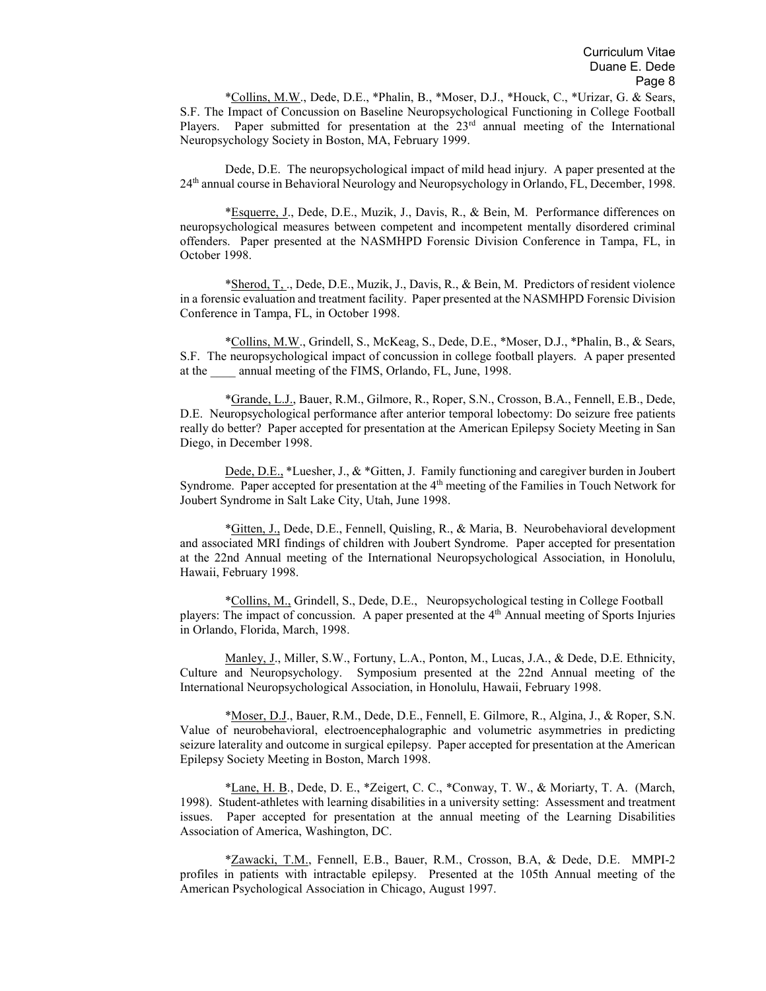\*Collins, M.W., Dede, D.E., \*Phalin, B., \*Moser, D.J., \*Houck, C., \*Urizar, G. & Sears, S.F. The Impact of Concussion on Baseline Neuropsychological Functioning in College Football Players. Paper submitted for presentation at the  $23<sup>rd</sup>$  annual meeting of the International Neuropsychology Society in Boston, MA, February 1999.

Dede, D.E. The neuropsychological impact of mild head injury. A paper presented at the 24th annual course in Behavioral Neurology and Neuropsychology in Orlando, FL, December, 1998.

\*Esquerre, J., Dede, D.E., Muzik, J., Davis, R., & Bein, M. Performance differences on neuropsychological measures between competent and incompetent mentally disordered criminal offenders. Paper presented at the NASMHPD Forensic Division Conference in Tampa, FL, in October 1998.

\*Sherod, T, ., Dede, D.E., Muzik, J., Davis, R., & Bein, M. Predictors of resident violence in a forensic evaluation and treatment facility. Paper presented at the NASMHPD Forensic Division Conference in Tampa, FL, in October 1998.

\*Collins, M.W., Grindell, S., McKeag, S., Dede, D.E., \*Moser, D.J., \*Phalin, B., & Sears, S.F. The neuropsychological impact of concussion in college football players. A paper presented at the annual meeting of the FIMS, Orlando, FL, June, 1998.

\*Grande, L.J., Bauer, R.M., Gilmore, R., Roper, S.N., Crosson, B.A., Fennell, E.B., Dede, D.E. Neuropsychological performance after anterior temporal lobectomy: Do seizure free patients really do better? Paper accepted for presentation at the American Epilepsy Society Meeting in San Diego, in December 1998.

Dede, D.E., \*Luesher, J., & \*Gitten, J. Family functioning and caregiver burden in Joubert Syndrome. Paper accepted for presentation at the 4<sup>th</sup> meeting of the Families in Touch Network for Joubert Syndrome in Salt Lake City, Utah, June 1998.

\*Gitten, J., Dede, D.E., Fennell, Quisling, R., & Maria, B. Neurobehavioral development and associated MRI findings of children with Joubert Syndrome. Paper accepted for presentation at the 22nd Annual meeting of the International Neuropsychological Association, in Honolulu, Hawaii, February 1998.

\*Collins, M., Grindell, S., Dede, D.E., Neuropsychological testing in College Football players: The impact of concussion. A paper presented at the 4th Annual meeting of Sports Injuries in Orlando, Florida, March, 1998.

Manley, J., Miller, S.W., Fortuny, L.A., Ponton, M., Lucas, J.A., & Dede, D.E. Ethnicity, Culture and Neuropsychology. Symposium presented at the 22nd Annual meeting of the International Neuropsychological Association, in Honolulu, Hawaii, February 1998.

\*Moser, D.J., Bauer, R.M., Dede, D.E., Fennell, E. Gilmore, R., Algina, J., & Roper, S.N. Value of neurobehavioral, electroencephalographic and volumetric asymmetries in predicting seizure laterality and outcome in surgical epilepsy. Paper accepted for presentation at the American Epilepsy Society Meeting in Boston, March 1998.

\*Lane, H. B., Dede, D. E., \*Zeigert, C. C., \*Conway, T. W., & Moriarty, T. A. (March, 1998). Student-athletes with learning disabilities in a university setting: Assessment and treatment issues. Paper accepted for presentation at the annual meeting of the Learning Disabilities Association of America, Washington, DC.

\*Zawacki, T.M., Fennell, E.B., Bauer, R.M., Crosson, B.A, & Dede, D.E. MMPI-2 profiles in patients with intractable epilepsy. Presented at the 105th Annual meeting of the American Psychological Association in Chicago, August 1997.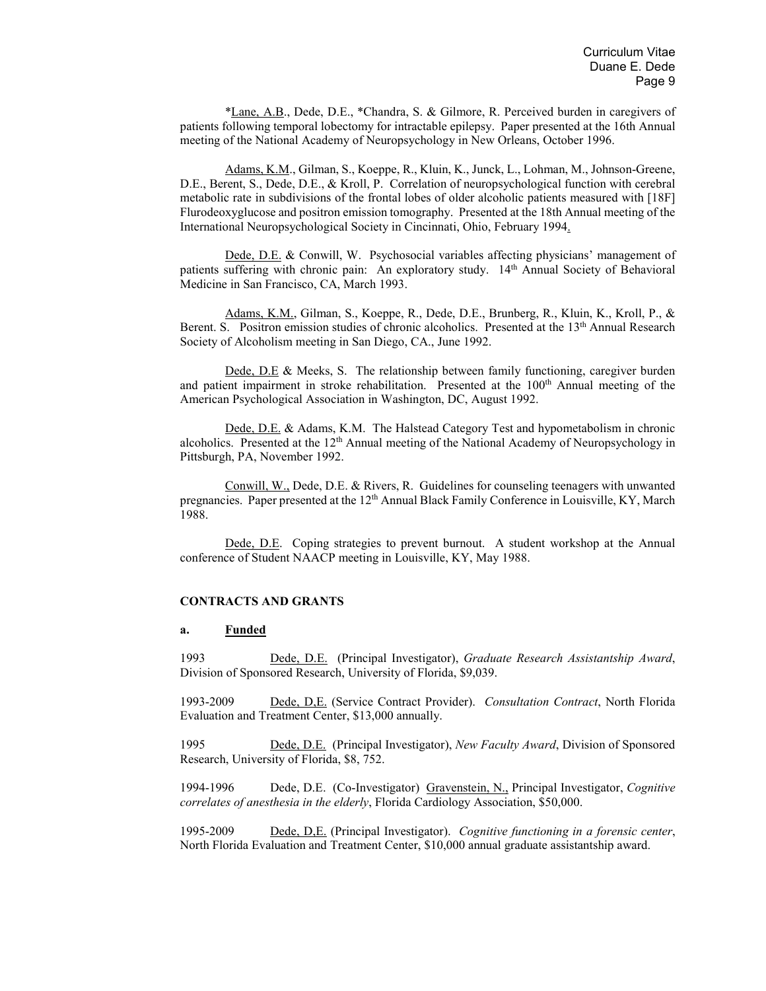\*Lane, A.B., Dede, D.E., \*Chandra, S. & Gilmore, R. Perceived burden in caregivers of patients following temporal lobectomy for intractable epilepsy. Paper presented at the 16th Annual meeting of the National Academy of Neuropsychology in New Orleans, October 1996.

Adams, K.M., Gilman, S., Koeppe, R., Kluin, K., Junck, L., Lohman, M., Johnson-Greene, D.E., Berent, S., Dede, D.E., & Kroll, P. Correlation of neuropsychological function with cerebral metabolic rate in subdivisions of the frontal lobes of older alcoholic patients measured with [18F] Flurodeoxyglucose and positron emission tomography. Presented at the 18th Annual meeting of the International Neuropsychological Society in Cincinnati, Ohio, February 1994.

Dede, D.E. & Conwill, W. Psychosocial variables affecting physicians' management of patients suffering with chronic pain: An exploratory study. 14<sup>th</sup> Annual Society of Behavioral Medicine in San Francisco, CA, March 1993.

Adams, K.M., Gilman, S., Koeppe, R., Dede, D.E., Brunberg, R., Kluin, K., Kroll, P., & Berent. S. Positron emission studies of chronic alcoholics. Presented at the 13<sup>th</sup> Annual Research Society of Alcoholism meeting in San Diego, CA., June 1992.

Dede, D.E & Meeks, S. The relationship between family functioning, caregiver burden and patient impairment in stroke rehabilitation. Presented at the 100<sup>th</sup> Annual meeting of the American Psychological Association in Washington, DC, August 1992.

Dede, D.E. & Adams, K.M. The Halstead Category Test and hypometabolism in chronic alcoholics. Presented at the  $12<sup>th</sup>$  Annual meeting of the National Academy of Neuropsychology in Pittsburgh, PA, November 1992.

Conwill, W., Dede, D.E. & Rivers, R. Guidelines for counseling teenagers with unwanted pregnancies. Paper presented at the 12<sup>th</sup> Annual Black Family Conference in Louisville, KY, March 1988.

Dede, D.E. Coping strategies to prevent burnout. A student workshop at the Annual conference of Student NAACP meeting in Louisville, KY, May 1988.

### **CONTRACTS AND GRANTS**

#### **a. Funded**

1993 Dede, D.E. (Principal Investigator), *Graduate Research Assistantship Award*, Division of Sponsored Research, University of Florida, \$9,039.

1993-2009 Dede, D,E. (Service Contract Provider). *Consultation Contract*, North Florida Evaluation and Treatment Center, \$13,000 annually.

1995 Dede, D.E. (Principal Investigator), *New Faculty Award*, Division of Sponsored Research, University of Florida, \$8, 752.

1994-1996 Dede, D.E. (Co-Investigator) Gravenstein, N., Principal Investigator, *Cognitive correlates of anesthesia in the elderly*, Florida Cardiology Association, \$50,000.

1995-2009 Dede, D,E. (Principal Investigator). *Cognitive functioning in a forensic center*, North Florida Evaluation and Treatment Center, \$10,000 annual graduate assistantship award.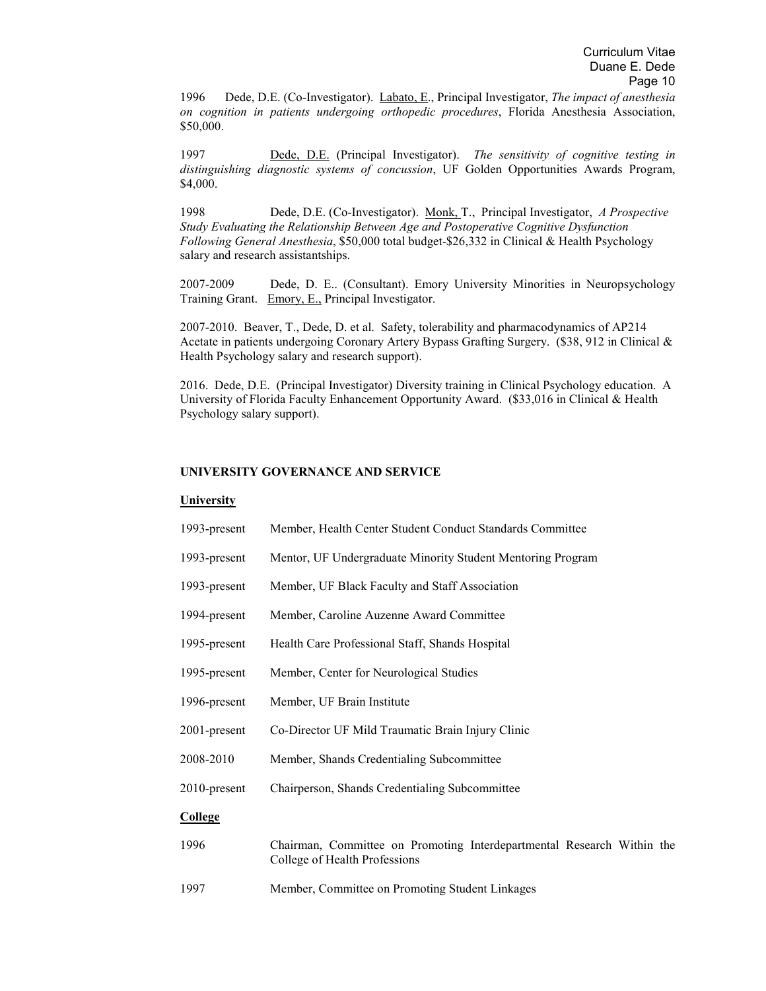1996 Dede, D.E. (Co-Investigator). Labato, E., Principal Investigator, *The impact of anesthesia on cognition in patients undergoing orthopedic procedures*, Florida Anesthesia Association, \$50,000.

1997 Dede, D.E. (Principal Investigator). *The sensitivity of cognitive testing in distinguishing diagnostic systems of concussion*, UF Golden Opportunities Awards Program, \$4,000.

1998 Dede, D.E. (Co-Investigator). Monk, T., Principal Investigator, *A Prospective Study Evaluating the Relationship Between Age and Postoperative Cognitive Dysfunction Following General Anesthesia*, \$50,000 total budget-\$26,332 in Clinical & Health Psychology salary and research assistantships.

2007-2009 Dede, D. E.. (Consultant). Emory University Minorities in Neuropsychology Training Grant. Emory, E., Principal Investigator.

2007-2010. Beaver, T., Dede, D. et al. Safety, tolerability and pharmacodynamics of AP214 Acetate in patients undergoing Coronary Artery Bypass Grafting Surgery. (\$38, 912 in Clinical & Health Psychology salary and research support).

2016. Dede, D.E. (Principal Investigator) Diversity training in Clinical Psychology education. A University of Florida Faculty Enhancement Opportunity Award. (\$33,016 in Clinical & Health Psychology salary support).

## **UNIVERSITY GOVERNANCE AND SERVICE**

### **University**

| 1993-present    | Member, Health Center Student Conduct Standards Committee                                               |
|-----------------|---------------------------------------------------------------------------------------------------------|
| 1993-present    | Mentor, UF Undergraduate Minority Student Mentoring Program                                             |
| 1993-present    | Member, UF Black Faculty and Staff Association                                                          |
| 1994-present    | Member, Caroline Auzenne Award Committee                                                                |
| 1995-present    | Health Care Professional Staff, Shands Hospital                                                         |
| 1995-present    | Member, Center for Neurological Studies                                                                 |
| 1996-present    | Member, UF Brain Institute                                                                              |
| 2001-present    | Co-Director UF Mild Traumatic Brain Injury Clinic                                                       |
| 2008-2010       | Member, Shands Credentialing Subcommittee                                                               |
| $2010$ -present | Chairperson, Shands Credentialing Subcommittee                                                          |
| <b>College</b>  |                                                                                                         |
| 1996            | Chairman, Committee on Promoting Interdepartmental Research Within the<br>College of Health Professions |
| 1997            | Member, Committee on Promoting Student Linkages                                                         |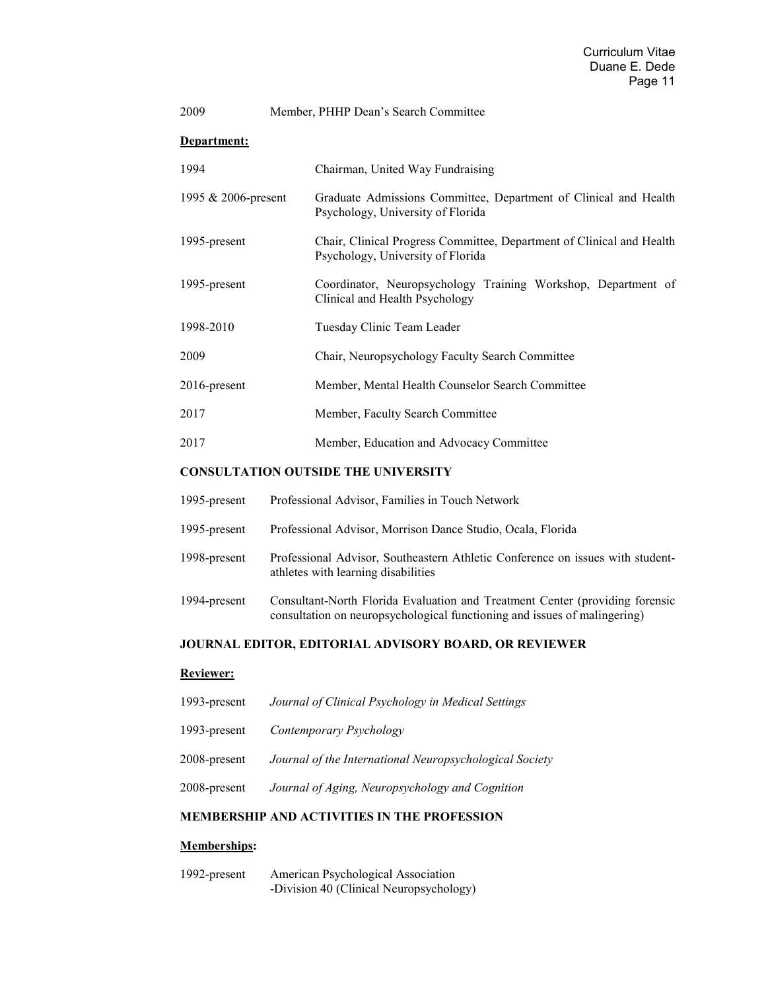| 2009                | Member, PHHP Dean's Search Committee                                                                       |
|---------------------|------------------------------------------------------------------------------------------------------------|
| Department:         |                                                                                                            |
| 1994                | Chairman, United Way Fundraising                                                                           |
| 1995 & 2006-present | Graduate Admissions Committee, Department of Clinical and Health<br>Psychology, University of Florida      |
| 1995-present        | Chair, Clinical Progress Committee, Department of Clinical and Health<br>Psychology, University of Florida |
| 1995-present        | Coordinator, Neuropsychology Training Workshop, Department of<br>Clinical and Health Psychology            |
| 1998-2010           | Tuesday Clinic Team Leader                                                                                 |
| 2009                | Chair, Neuropsychology Faculty Search Committee                                                            |
| $2016$ -present     | Member, Mental Health Counselor Search Committee                                                           |
| 2017                | Member, Faculty Search Committee                                                                           |
| 2017                | Member, Education and Advocacy Committee                                                                   |

## **CONSULTATION OUTSIDE THE UNIVERSITY**

| 1995-present | Professional Advisor, Families in Touch Network                                                                                                           |
|--------------|-----------------------------------------------------------------------------------------------------------------------------------------------------------|
| 1995-present | Professional Advisor, Morrison Dance Studio, Ocala, Florida                                                                                               |
| 1998-present | Professional Advisor, Southeastern Athletic Conference on issues with student-<br>athletes with learning disabilities                                     |
| 1994-present | Consultant-North Florida Evaluation and Treatment Center (providing forensic<br>consultation on neuropsychological functioning and issues of malingering) |

# **JOURNAL EDITOR, EDITORIAL ADVISORY BOARD, OR REVIEWER**

# **Reviewer:**

| 1993-present | Journal of Clinical Psychology in Medical Settings      |
|--------------|---------------------------------------------------------|
| 1993-present | Contemporary Psychology                                 |
| 2008-present | Journal of the International Neuropsychological Society |
| 2008-present | Journal of Aging, Neuropsychology and Cognition         |

# **MEMBERSHIP AND ACTIVITIES IN THE PROFESSION**

# **Memberships:**

1992-present American Psychological Association -Division 40 (Clinical Neuropsychology)